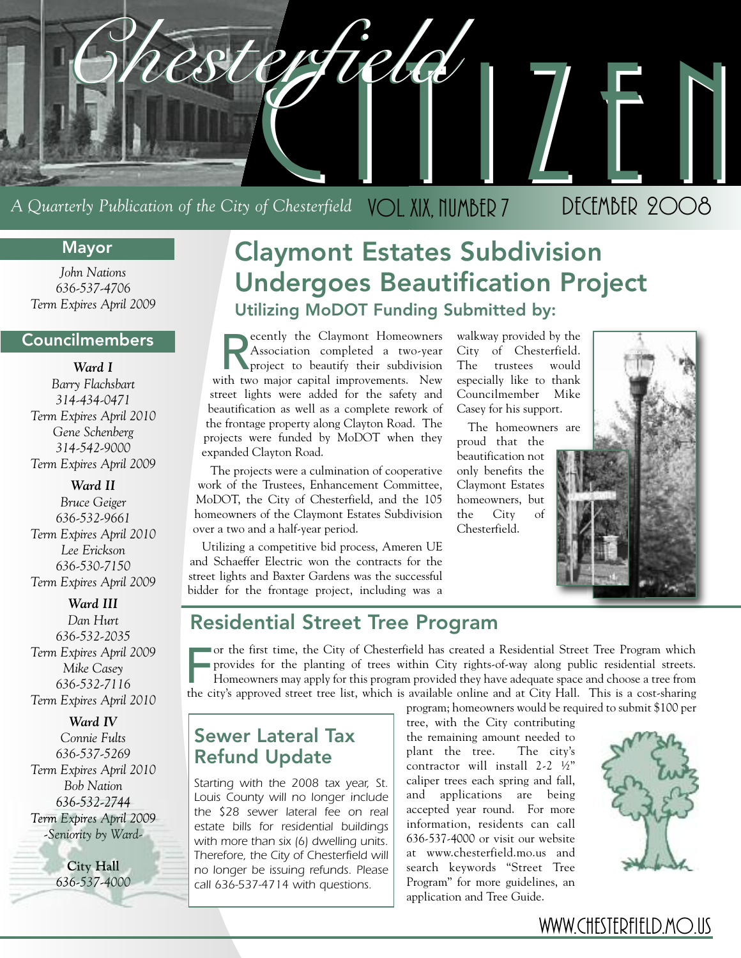

## A Quarterly Publication of the City of Chesterfield VOL. XIX, NUMBER 7 DECEMBER 2008

### **Mayor**

*John Nations 636-537-4706 Term Expires April 2009*

### **Councilmembers**

*Ward I Barry Flachsbart 314-434-0471 Term Expires April 2010 Gene Schenberg 314-542-9000 Term Expires April 2009*

*Ward II Bruce Geiger 636-532-9661 Term Expires April 2010 Lee Erickson 636-530-7150 Term Expires April 2009*

*Ward III Dan Hurt 636-532-2035 Term Expires April 2009 Mike Casey 636-532-7116 Term Expires April 2010*

*Ward IV*

*Connie Fults 636-537-5269 Term Expires April 2010 Bob Nation 636-532-2744 Term Expires April 2009 -Seniority by Ward-*

> **City Hall** *636-537-4000*

## **Claymont Estates Subdivision Undergoes Beautification Project Utilizing MoDOT Funding Submitted by:**

Recently the Claymont Homeowners<br>Association completed a two-year<br>project to beautify their subdivision<br>ith two major capital improvements. New Association completed a two-year project to beautify their subdivision with two major capital improvements. New street lights were added for the safety and beautification as well as a complete rework of the frontage property along Clayton Road. The projects were funded by MoDOT when they expanded Clayton Road.

The projects were a culmination of cooperative work of the Trustees, Enhancement Committee, MoDOT, the City of Chesterfield, and the 105 homeowners of the Claymont Estates Subdivision over a two and a half-year period.

Utilizing a competitive bid process, Ameren UE and Schaeffer Electric won the contracts for the street lights and Baxter Gardens was the successful bidder for the frontage project, including was a

walkway provided by the City of Chesterfield. The trustees would especially like to thank Councilmember Mike Casey for his support.

The homeowners are proud that the beautification not only benefits the Claymont Estates homeowners, but the City of Chesterfield.



## **Residential Street Tree Program**

For the first time, the City of Chesterfield has created a Residential Street Tree Program which<br>provides for the planting of trees within City rights-of-way along public residential streets.<br>Homeowners may apply for this or the first time, the City of Chesterfield has created a Residential Street Tree Program which provides for the planting of trees within City rights-of-way along public residential streets. Homeowners may apply for this program provided they have adequate space and choose a tree from

program; homeowners would be required to submit \$100 per

### **Sewer Lateral Tax Refund Update**

*Starting with the 2008 tax year, St. Louis County will no longer include the \$28 sewer lateral fee on real estate bills for residential buildings with more than six (6) dwelling units. Therefore, the City of Chesterfield will no longer be issuing refunds. Please call 636-537-4714 with questions.*

tree, with the City contributing the remaining amount needed to plant the tree. The city's contractor will install 2-2 ½" caliper trees each spring and fall, and applications are being accepted year round. For more information, residents can call 636-537-4000 or visit our website at www.chesterfield.mo.us and search keywords "Street Tree Program" for more guidelines, an application and Tree Guide.



### WWW.CHESTERFIELD.MO.US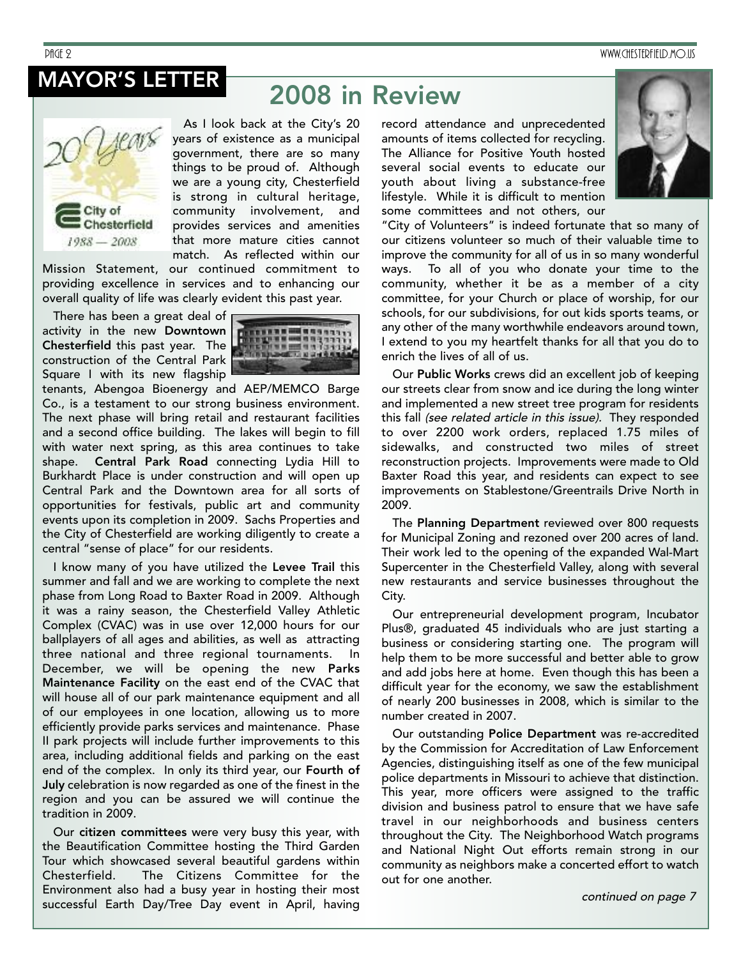PAGE 2 WWW.CHESTERFIELD.MO.US

## **MAYOR'S LETTER**

# **2008 in Review**



As I look back at the City's 20 years of existence as a municipal government, there are so many things to be proud of. Although we are a young city, Chesterfield is strong in cultural heritage, community involvement, and provides services and amenities that more mature cities cannot match. As reflected within our

Mission Statement, our continued commitment to providing excellence in services and to enhancing our overall quality of life was clearly evident this past year.

There has been a great deal of activity in the new **Downtown Chesterfield** this past year. The construction of the Central Park Square I with its new flagship



tenants, Abengoa Bioenergy and AEP/MEMCO Barge Co., is a testament to our strong business environment. The next phase will bring retail and restaurant facilities and a second office building. The lakes will begin to fill with water next spring, as this area continues to take shape. **Central Park Road** connecting Lydia Hill to Burkhardt Place is under construction and will open up Central Park and the Downtown area for all sorts of opportunities for festivals, public art and community events upon its completion in 2009. Sachs Properties and the City of Chesterfield are working diligently to create a central "sense of place" for our residents.

I know many of you have utilized the **Levee Trail** this summer and fall and we are working to complete the next phase from Long Road to Baxter Road in 2009. Although it was a rainy season, the Chesterfield Valley Athletic Complex (CVAC) was in use over 12,000 hours for our ballplayers of all ages and abilities, as well as attracting three national and three regional tournaments. In December, we will be opening the new **Parks Maintenance Facility** on the east end of the CVAC that will house all of our park maintenance equipment and all of our employees in one location, allowing us to more efficiently provide parks services and maintenance. Phase II park projects will include further improvements to this area, including additional fields and parking on the east end of the complex. In only its third year, our **Fourth of July** celebration is now regarded as one of the finest in the region and you can be assured we will continue the tradition in 2009.

Our **citizen committees** were very busy this year, with the Beautification Committee hosting the Third Garden Tour which showcased several beautiful gardens within Chesterfield. The Citizens Committee for the Environment also had a busy year in hosting their most successful Earth Day/Tree Day event in April, having

record attendance and unprecedented amounts of items collected for recycling. The Alliance for Positive Youth hosted several social events to educate our youth about living a substance-free lifestyle. While it is difficult to mention some committees and not others, our



"City of Volunteers" is indeed fortunate that so many of our citizens volunteer so much of their valuable time to improve the community for all of us in so many wonderful ways. To all of you who donate your time to the community, whether it be as a member of a city committee, for your Church or place of worship, for our schools, for our subdivisions, for out kids sports teams, or any other of the many worthwhile endeavors around town, I extend to you my heartfelt thanks for all that you do to enrich the lives of all of us.

Our **Public Works** crews did an excellent job of keeping our streets clear from snow and ice during the long winter and implemented a new street tree program for residents this fall (see related article in this issue). They responded to over 2200 work orders, replaced 1.75 miles of sidewalks, and constructed two miles of street reconstruction projects. Improvements were made to Old Baxter Road this year, and residents can expect to see improvements on Stablestone/Greentrails Drive North in 2009.

The **Planning Department** reviewed over 800 requests for Municipal Zoning and rezoned over 200 acres of land. Their work led to the opening of the expanded Wal-Mart Supercenter in the Chesterfield Valley, along with several new restaurants and service businesses throughout the City.

Our entrepreneurial development program, Incubator Plus®, graduated 45 individuals who are just starting a business or considering starting one. The program will help them to be more successful and better able to grow and add jobs here at home. Even though this has been a difficult year for the economy, we saw the establishment of nearly 200 businesses in 2008, which is similar to the number created in 2007.

Our outstanding **Police Department** was re-accredited by the Commission for Accreditation of Law Enforcement Agencies, distinguishing itself as one of the few municipal police departments in Missouri to achieve that distinction. This year, more officers were assigned to the traffic division and business patrol to ensure that we have safe travel in our neighborhoods and business centers throughout the City. The Neighborhood Watch programs and National Night Out efforts remain strong in our community as neighbors make a concerted effort to watch out for one another.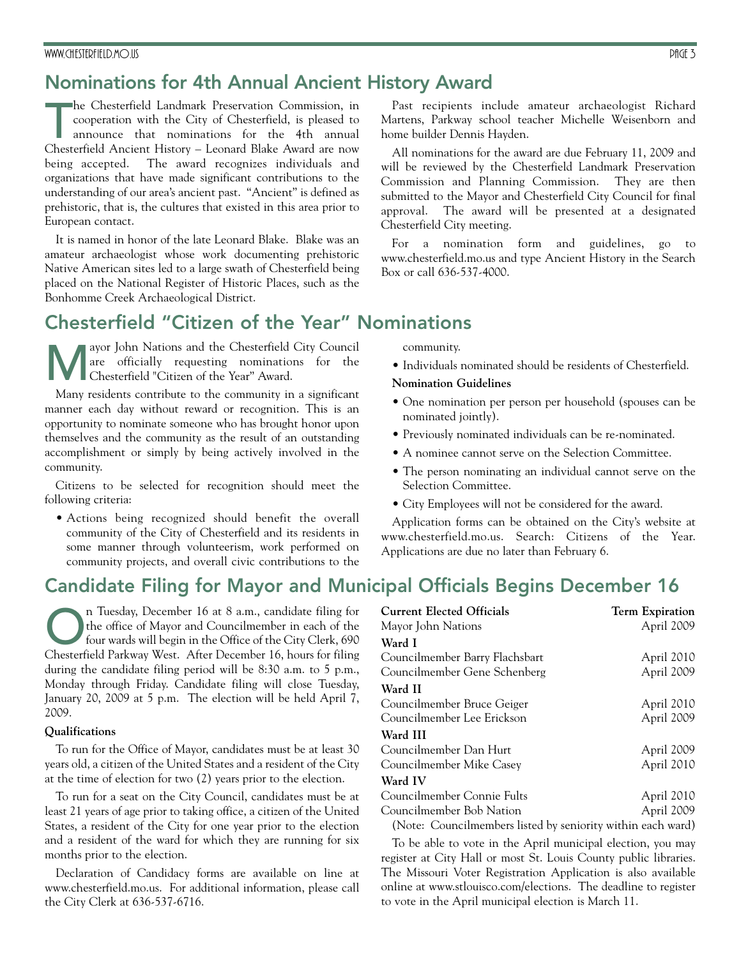### **Nominations for 4th Annual Ancient History Award**

#### The Chesterfield Landmark Preservation Commission, in cooperation with the City of Chesterfield, is pleased to announce that nominations for the 4th annual Chesterfield Ancient History – Leonard Blake Award are now he Chesterfield Landmark Preservation Commission, in cooperation with the City of Chesterfield, is pleased to announce that nominations for the 4th annual being accepted. The award recognizes individuals and organizations that have made significant contributions to the understanding of our area's ancient past. "Ancient" is defined as prehistoric, that is, the cultures that existed in this area prior to European contact.

It is named in honor of the late Leonard Blake. Blake was an amateur archaeologist whose work documenting prehistoric Native American sites led to a large swath of Chesterfield being placed on the National Register of Historic Places, such as the Bonhomme Creek Archaeological District.

### **Chesterfield "Citizen of the Year" Nominations**

ayor John Nations and the Chesterfield City Council are officially requesting nominations for the Chesterfield "Citizen of the Year" Award.

Many residents contribute to the community in a significant manner each day without reward or recognition. This is an opportunity to nominate someone who has brought honor upon themselves and the community as the result of an outstanding accomplishment or simply by being actively involved in the community.

Citizens to be selected for recognition should meet the following criteria:

• Actions being recognized should benefit the overall community of the City of Chesterfield and its residents in some manner through volunteerism, work performed on community projects, and overall civic contributions to the

**Candidate Filing for Mayor and Municipal Officials Begins December 16**

n Tuesday, December 16 at 8 a.m., candidate filing for the office of Mayor and Councilmember in each of the four wards will begin in the Office of the City Clerk, 690 Chesterfield Parkway West. After December 16, hours for filing during the candidate filing period will be 8:30 a.m. to 5 p.m., Monday through Friday. Candidate filing will close Tuesday, January 20, 2009 at 5 p.m. The election will be held April 7, 2009.

#### **Qualifications**

To run for the Office of Mayor, candidates must be at least 30 years old, a citizen of the United States and a resident of the City at the time of election for two (2) years prior to the election.

To run for a seat on the City Council, candidates must be at least 21 years of age prior to taking office, a citizen of the United States, a resident of the City for one year prior to the election and a resident of the ward for which they are running for six months prior to the election.

Declaration of Candidacy forms are available on line at www.chesterfield.mo.us. For additional information, please call the City Clerk at 636-537-6716.

Past recipients include amateur archaeologist Richard Martens, Parkway school teacher Michelle Weisenborn and home builder Dennis Hayden.

All nominations for the award are due February 11, 2009 and will be reviewed by the Chesterfield Landmark Preservation Commission and Planning Commission. They are then submitted to the Mayor and Chesterfield City Council for final approval. The award will be presented at a designated Chesterfield City meeting.

For a nomination form and guidelines, go to www.chesterfield.mo.us and type Ancient History in the Search Box or call 636-537-4000.

community.

• Individuals nominated should be residents of Chesterfield.

#### **Nomination Guidelines**

- One nomination per person per household (spouses can be nominated jointly).
- Previously nominated individuals can be re-nominated.
- A nominee cannot serve on the Selection Committee.
- The person nominating an individual cannot serve on the Selection Committee.
- City Employees will not be considered for the award.

Application forms can be obtained on the City's website at www.chesterfield.mo.us. Search: Citizens of the Year. Applications are due no later than February 6.

| <b>Current Elected Officials</b> | <b>Term Expiration</b>                                      |
|----------------------------------|-------------------------------------------------------------|
| Mayor John Nations               | April 2009                                                  |
| Ward I                           |                                                             |
| Councilmember Barry Flachsbart   | April 2010                                                  |
| Councilmember Gene Schenberg     | April 2009                                                  |
| Ward II                          |                                                             |
| Councilmember Bruce Geiger       | April 2010                                                  |
| Councilmember Lee Erickson       | April 2009                                                  |
| Ward III                         |                                                             |
| Councilmember Dan Hurt           | April 2009                                                  |
| Councilmember Mike Casey         | April 2010                                                  |
| Ward IV                          |                                                             |
| Councilmember Connie Fults       | April 2010                                                  |
| Councilmember Bob Nation         | April 2009                                                  |
|                                  | (Note: Councilmembers listed by seniority within each ward) |

To be able to vote in the April municipal election, you may register at City Hall or most St. Louis County public libraries. The Missouri Voter Registration Application is also available online at www.stlouisco.com/elections. The deadline to register to vote in the April municipal election is March 11.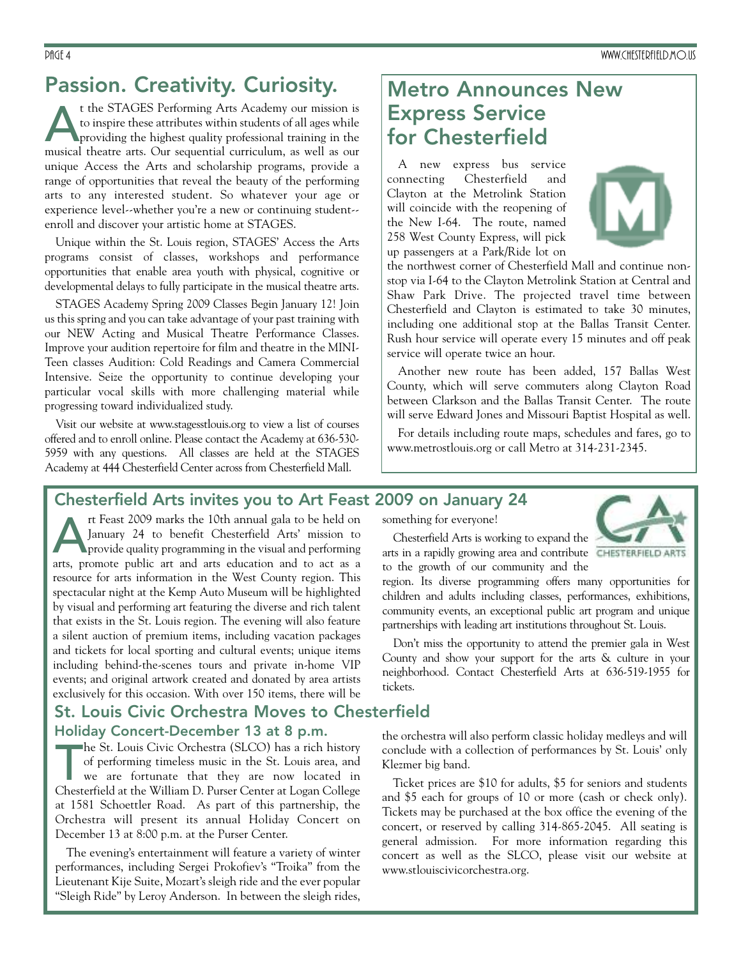### **Passion. Creativity. Curiosity.**

t the STAGES Performing Arts Academy our mission is<br>to inspire these attributes within students of all ages while<br>providing the highest quality professional training in the<br>musical theatre arts. Our sequential curriculum, to inspire these attributes within students of all ages while providing the highest quality professional training in the musical theatre arts. Our sequential curriculum, as well as our unique Access the Arts and scholarship programs, provide a range of opportunities that reveal the beauty of the performing arts to any interested student. So whatever your age or experience level--whether you're a new or continuing student- enroll and discover your artistic home at STAGES.

Unique within the St. Louis region, STAGES' Access the Arts programs consist of classes, workshops and performance opportunities that enable area youth with physical, cognitive or developmental delays to fully participate in the musical theatre arts.

STAGES Academy Spring 2009 Classes Begin January 12! Join us this spring and you can take advantage of your past training with our NEW Acting and Musical Theatre Performance Classes. Improve your audition repertoire for film and theatre in the MINI-Teen classes Audition: Cold Readings and Camera Commercial Intensive. Seize the opportunity to continue developing your particular vocal skills with more challenging material while progressing toward individualized study.

Visit our website at www.stagesstlouis.org to view a list of courses offered and to enroll online. Please contact the Academy at 636-530- 5959 with any questions. All classes are held at the STAGES Academy at 444 Chesterfield Center across from Chesterfield Mall.

### **Metro Announces New Express Service for Chesterfield**

A new express bus service connecting Chesterfield and Clayton at the Metrolink Station will coincide with the reopening of the New I-64. The route, named 258 West County Express, will pick up passengers at a Park/Ride lot on



the northwest corner of Chesterfield Mall and continue nonstop via I-64 to the Clayton Metrolink Station at Central and Shaw Park Drive. The projected travel time between Chesterfield and Clayton is estimated to take 30 minutes, including one additional stop at the Ballas Transit Center. Rush hour service will operate every 15 minutes and off peak service will operate twice an hour.

Another new route has been added, 157 Ballas West County, which will serve commuters along Clayton Road between Clarkson and the Ballas Transit Center. The route will serve Edward Jones and Missouri Baptist Hospital as well.

For details including route maps, schedules and fares, go to www.metrostlouis.org or call Metro at 314-231-2345.

### **Chesterfield Arts invites you to Art Feast 2009 on January 24**

rt Feast 2009 marks the 10th annual gala to be held on January 24 to benefit Chesterfield Arts' mission to provide quality programming in the visual and performing arts, promote public art and arts education and to act as a resource for arts information in the West County region. This spectacular night at the Kemp Auto Museum will be highlighted by visual and performing art featuring the diverse and rich talent that exists in the St. Louis region. The evening will also feature a silent auction of premium items, including vacation packages and tickets for local sporting and cultural events; unique items including behind-the-scenes tours and private in-home VIP events; and original artwork created and donated by area artists exclusively for this occasion. With over 150 items, there will be

### **St. Louis Civic Orchestra Moves to Chesterfield Holiday Concert-December 13 at 8 p.m.**

he St. Louis Civic Orchestra (SLCO) has a rich history<br>of performing timeless music in the St. Louis area, and<br>we are fortunate that they are now located in<br>Chesterfield at the William D. Purser Center at Logan College he St. Louis Civic Orchestra (SLCO) has a rich history of performing timeless music in the St. Louis area, and we are fortunate that they are now located in at 1581 Schoettler Road. As part of this partnership, the Orchestra will present its annual Holiday Concert on December 13 at 8:00 p.m. at the Purser Center.

The evening's entertainment will feature a variety of winter performances, including Sergei Prokofiev's "Troika" from the Lieutenant Kije Suite, Mozart's sleigh ride and the ever popular "Sleigh Ride" by Leroy Anderson. In between the sleigh rides,

something for everyone!



Chesterfield Arts is working to expand the arts in a rapidly growing area and contribute **CHESTERFIELD ARTS** to the growth of our community and the

region. Its diverse programming offers many opportunities for children and adults including classes, performances, exhibitions, community events, an exceptional public art program and unique partnerships with leading art institutions throughout St. Louis.

Don't miss the opportunity to attend the premier gala in West County and show your support for the arts & culture in your neighborhood. Contact Chesterfield Arts at 636-519-1955 for tickets.

the orchestra will also perform classic holiday medleys and will conclude with a collection of performances by St. Louis' only Klezmer big band.

Ticket prices are \$10 for adults, \$5 for seniors and students and \$5 each for groups of 10 or more (cash or check only). Tickets may be purchased at the box office the evening of the concert, or reserved by calling 314-865-2045. All seating is general admission. For more information regarding this concert as well as the SLCO, please visit our website at www.stlouiscivicorchestra.org.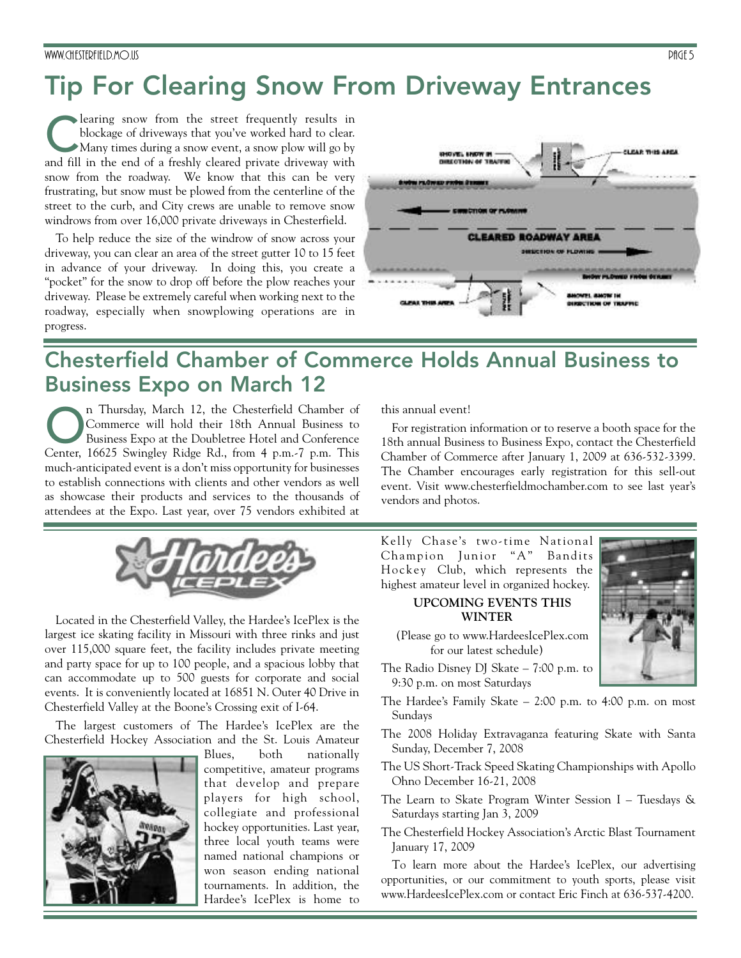# **Tip For Clearing Snow From Driveway Entrances**

learing snow from the street frequently results in blockage of driveways that you've worked hard to clear. Many times during a snow event, a snow plow will go by and fill in the end of a freshly cleared private driveway with snow from the roadway. We know that this can be very frustrating, but snow must be plowed from the centerline of the street to the curb, and City crews are unable to remove snow windrows from over 16,000 private driveways in Chesterfield.

To help reduce the size of the windrow of snow across your driveway, you can clear an area of the street gutter 10 to 15 feet in advance of your driveway. In doing this, you create a "pocket" for the snow to drop off before the plow reaches your driveway. Please be extremely careful when working next to the roadway, especially when snowplowing operations are in progress.



## **Chesterfield Chamber of Commerce Holds Annual Business to Business Expo on March 12**

n Thursday, March 12, the Chesterfield Chamber of Commerce will hold their 18th Annual Business to Business Expo at the Doubletree Hotel and Conference Center, 16625 Swingley Ridge Rd., from 4 p.m.-7 p.m. This much-anticipated event is a don't miss opportunity for businesses to establish connections with clients and other vendors as well as showcase their products and services to the thousands of attendees at the Expo. Last year, over 75 vendors exhibited at



Located in the Chesterfield Valley, the Hardee's IcePlex is the largest ice skating facility in Missouri with three rinks and just over 115,000 square feet, the facility includes private meeting and party space for up to 100 people, and a spacious lobby that can accommodate up to 500 guests for corporate and social events. It is conveniently located at 16851 N. Outer 40 Drive in Chesterfield Valley at the Boone's Crossing exit of I-64.

The largest customers of The Hardee's IcePlex are the Chesterfield Hockey Association and the St. Louis Amateur



Blues, both nationally competitive, amateur programs that develop and prepare players for high school, collegiate and professional hockey opportunities. Last year, three local youth teams were named national champions or won season ending national tournaments. In addition, the Hardee's IcePlex is home to this annual event!

For registration information or to reserve a booth space for the 18th annual Business to Business Expo, contact the Chesterfield Chamber of Commerce after January 1, 2009 at 636-532-3399. The Chamber encourages early registration for this sell-out event. Visit www.chesterfieldmochamber.com to see last year's vendors and photos.

Kelly Chase's two-time National Champion Junior "A" Bandits Hockey Club, which represents the highest amateur level in organized hockey.

#### **UPCOMING EVENTS THIS WINTER**

- (Please go to www.HardeesIcePlex.com for our latest schedule)
- The Radio Disney DJ Skate 7:00 p.m. to 9:30 p.m. on most Saturdays
- The Hardee's Family Skate 2:00 p.m. to 4:00 p.m. on most Sundays
- The 2008 Holiday Extravaganza featuring Skate with Santa Sunday, December 7, 2008
- The US Short-Track Speed Skating Championships with Apollo Ohno December 16-21, 2008
- The Learn to Skate Program Winter Session I Tuesdays & Saturdays starting Jan 3, 2009
- The Chesterfield Hockey Association's Arctic Blast Tournament January 17, 2009

To learn more about the Hardee's IcePlex, our advertising opportunities, or our commitment to youth sports, please visit www.HardeesIcePlex.com or contact Eric Finch at 636-537-4200.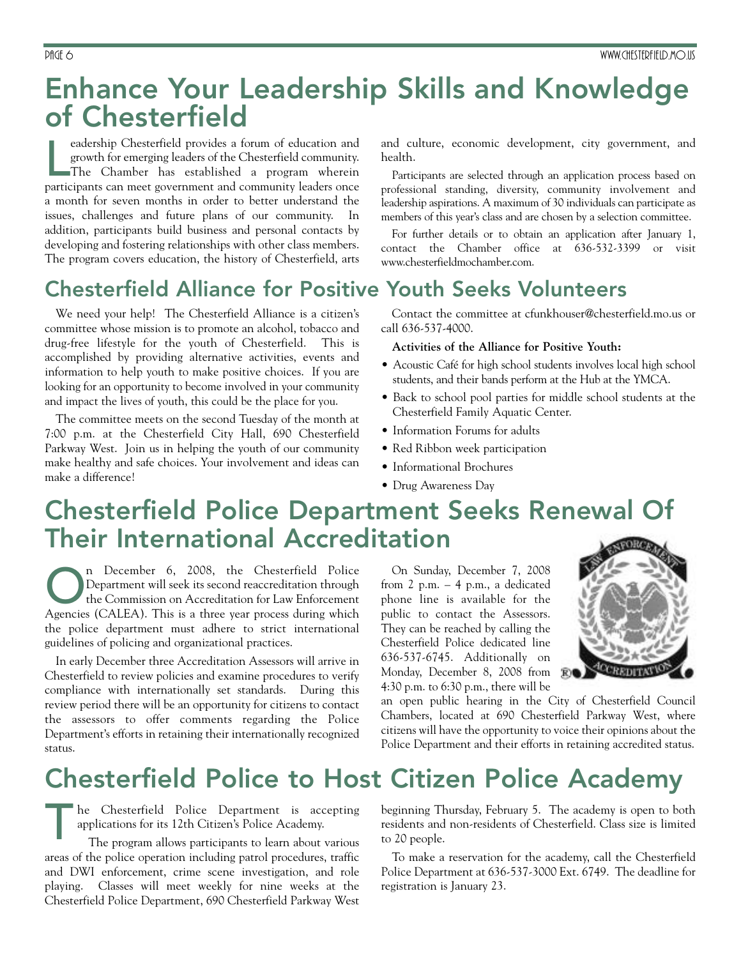## **Enhance Your Leadership Skills and Knowledge of Chesterfield**

eadership Chesterfield provides a forum of education and<br>growth for emerging leaders of the Chesterfield community.<br>The Chamber has established a program wherein<br>participants can meet government and community leaders once eadership Chesterfield provides a forum of education and growth for emerging leaders of the Chesterfield community. The Chamber has established a program wherein a month for seven months in order to better understand the issues, challenges and future plans of our community. In addition, participants build business and personal contacts by developing and fostering relationships with other class members. The program covers education, the history of Chesterfield, arts

## **Chesterfield Alliance for Positive Youth Seeks Volunteers**

We need your help! The Chesterfield Alliance is a citizen's committee whose mission is to promote an alcohol, tobacco and drug-free lifestyle for the youth of Chesterfield. This is accomplished by providing alternative activities, events and information to help youth to make positive choices. If you are looking for an opportunity to become involved in your community and impact the lives of youth, this could be the place for you.

The committee meets on the second Tuesday of the month at 7:00 p.m. at the Chesterfield City Hall, 690 Chesterfield Parkway West. Join us in helping the youth of our community make healthy and safe choices. Your involvement and ideas can make a difference!

and culture, economic development, city government, and health.

Participants are selected through an application process based on professional standing, diversity, community involvement and leadership aspirations. A maximum of 30 individuals can participate as members of this year's class and are chosen by a selection committee.

For further details or to obtain an application after January 1, contact the Chamber office at 636-532-3399 or visit www.chesterfieldmochamber.com.

Contact the committee at cfunkhouser@chesterfield.mo.us or call 636-537-4000.

#### **Activities of the Alliance for Positive Youth:**

- Acoustic Café for high school students involves local high school students, and their bands perform at the Hub at the YMCA.
- Back to school pool parties for middle school students at the Chesterfield Family Aquatic Center.
- Information Forums for adults
- Red Ribbon week participation
- Informational Brochures
- Drug Awareness Day

## **Chesterfield Police Department Seeks Renewal Of Their International Accreditation**

n December 6, 2008, the Chesterfield Police<br>Department will seek its second reaccreditation through<br>the Commission on Accreditation for Law Enforcement<br>Agencies (CALEA). This is a three year process during which Department will seek its second reaccreditation through the Commission on Accreditation for Law Enforcement Agencies (CALEA). This is a three year process during which the police department must adhere to strict international guidelines of policing and organizational practices.

In early December three Accreditation Assessors will arrive in Chesterfield to review policies and examine procedures to verify compliance with internationally set standards. During this review period there will be an opportunity for citizens to contact the assessors to offer comments regarding the Police Department's efforts in retaining their internationally recognized status.

On Sunday, December 7, 2008 from 2 p.m. – 4 p.m., a dedicated phone line is available for the public to contact the Assessors. They can be reached by calling the Chesterfield Police dedicated line 636-537-6745. Additionally on Monday, December 8, 2008 from 4:30 p.m. to 6:30 p.m., there will be



an open public hearing in the City of Chesterfield Council Chambers, located at 690 Chesterfield Parkway West, where citizens will have the opportunity to voice their opinions about the Police Department and their efforts in retaining accredited status.

# **Chesterfield Police to Host Citizen Police Academy**

he Chesterfield Police Department is accepting applications for its 12th Citizen's Police Academy.

The program allows participants to learn about various areas of the police operation including patrol procedures, traffic and DWI enforcement, crime scene investigation, and role playing. Classes will meet weekly for nine weeks at the Chesterfield Police Department, 690 Chesterfield Parkway West T

beginning Thursday, February 5. The academy is open to both residents and non-residents of Chesterfield. Class size is limited to 20 people.

To make a reservation for the academy, call the Chesterfield Police Department at 636-537-3000 Ext. 6749. The deadline for registration is January 23.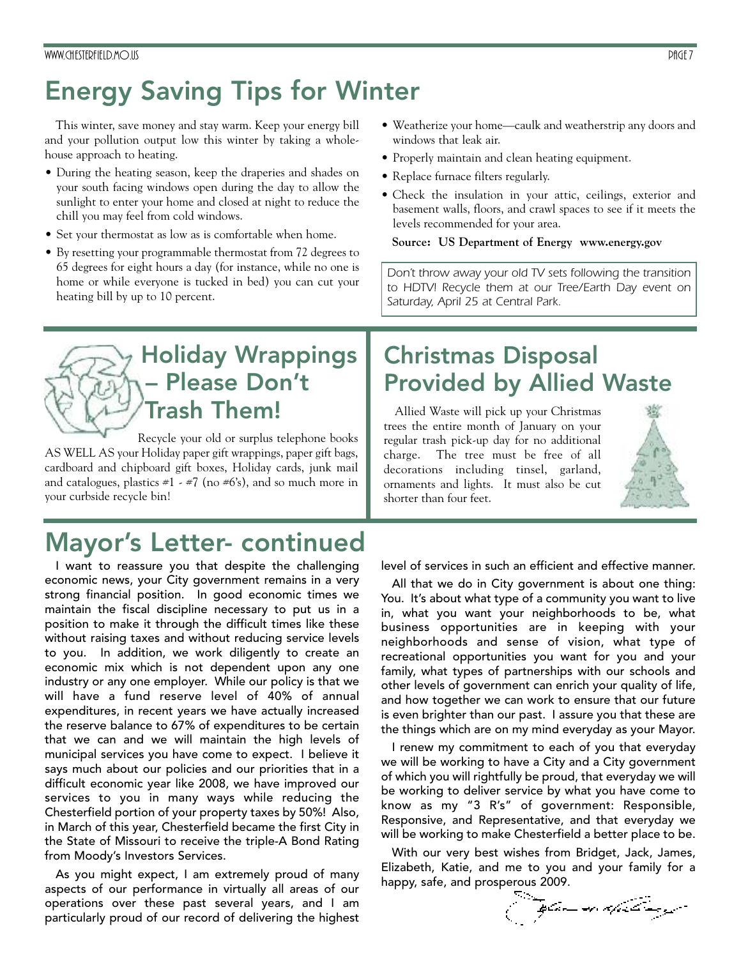# **Energy Saving Tips for Winter**

This winter, save money and stay warm. Keep your energy bill and your pollution output low this winter by taking a wholehouse approach to heating.

- During the heating season, keep the draperies and shades on your south facing windows open during the day to allow the sunlight to enter your home and closed at night to reduce the chill you may feel from cold windows.
- Set your thermostat as low as is comfortable when home.
- By resetting your programmable thermostat from 72 degrees to 65 degrees for eight hours a day (for instance, while no one is home or while everyone is tucked in bed) you can cut your heating bill by up to 10 percent.
- Weatherize your home—caulk and weatherstrip any doors and windows that leak air.
- Properly maintain and clean heating equipment.
- Replace furnace filters regularly.
- Check the insulation in your attic, ceilings, exterior and basement walls, floors, and crawl spaces to see if it meets the levels recommended for your area.

#### **Source: US Department of Energy www.energy.gov**

*Don't throw away your old TV sets following the transition to HDTV! Recycle them at our Tree/Earth Day event on Saturday, April 25 at Central Park.*

## **Holiday Wrappings – Please Don't Trash Them!**

Recycle your old or surplus telephone books AS WELL AS your Holiday paper gift wrappings, paper gift bags, cardboard and chipboard gift boxes, Holiday cards, junk mail and catalogues, plastics  $\#1 \times \#7$  (no  $\#6's$ ), and so much more in your curbside recycle bin!

# **Mayor's Letter- continued**

I want to reassure you that despite the challenging economic news, your City government remains in a very strong financial position. In good economic times we maintain the fiscal discipline necessary to put us in a position to make it through the difficult times like these without raising taxes and without reducing service levels to you. In addition, we work diligently to create an economic mix which is not dependent upon any one industry or any one employer. While our policy is that we will have a fund reserve level of 40% of annual expenditures, in recent years we have actually increased the reserve balance to 67% of expenditures to be certain that we can and we will maintain the high levels of municipal services you have come to expect. I believe it says much about our policies and our priorities that in a difficult economic year like 2008, we have improved our services to you in many ways while reducing the Chesterfield portion of your property taxes by 50%! Also, in March of this year, Chesterfield became the first City in the State of Missouri to receive the triple-A Bond Rating from Moody's Investors Services.

As you might expect, I am extremely proud of many aspects of our performance in virtually all areas of our operations over these past several years, and I am particularly proud of our record of delivering the highest

## **Christmas Disposal Provided by Allied Waste**

Allied Waste will pick up your Christmas trees the entire month of January on your regular trash pick-up day for no additional charge. The tree must be free of all decorations including tinsel, garland, ornaments and lights. It must also be cut shorter than four feet.



level of services in such an efficient and effective manner.

All that we do in City government is about one thing: You. It's about what type of a community you want to live in, what you want your neighborhoods to be, what business opportunities are in keeping with your neighborhoods and sense of vision, what type of recreational opportunities you want for you and your family, what types of partnerships with our schools and other levels of government can enrich your quality of life, and how together we can work to ensure that our future is even brighter than our past. I assure you that these are the things which are on my mind everyday as your Mayor.

I renew my commitment to each of you that everyday we will be working to have a City and a City government of which you will rightfully be proud, that everyday we will be working to deliver service by what you have come to know as my "3 R's" of government: Responsible, Responsive, and Representative, and that everyday we will be working to make Chesterfield a better place to be.

With our very best wishes from Bridget, Jack, James, Elizabeth, Katie, and me to you and your family for a happy, safe, and prosperous 2009.